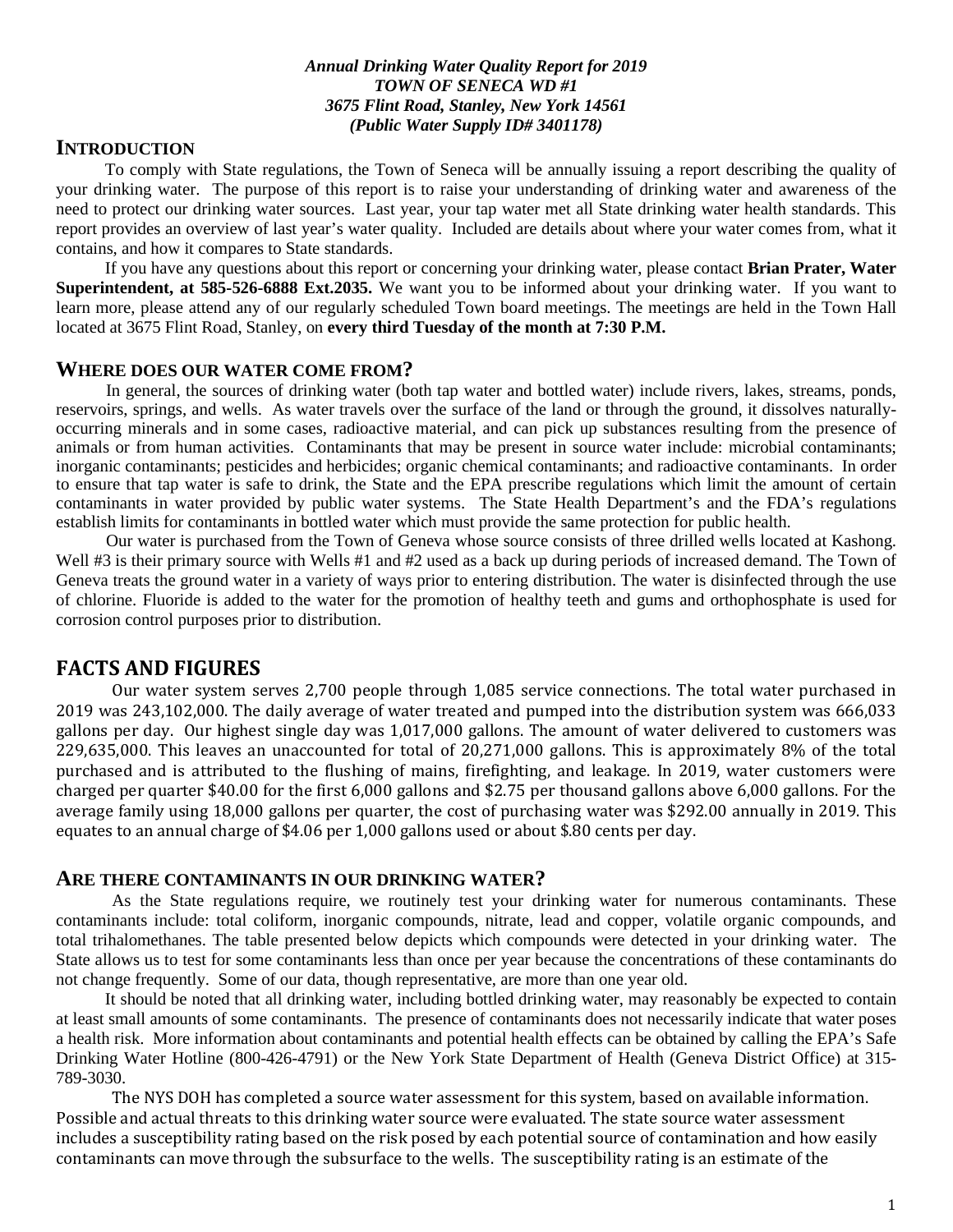#### *Annual Drinking Water Quality Report for 2019 TOWN OF SENECA WD #1 3675 Flint Road, Stanley, New York 14561 (Public Water Supply ID# 3401178)*

## **INTRODUCTION**

To comply with State regulations, the Town of Seneca will be annually issuing a report describing the quality of your drinking water. The purpose of this report is to raise your understanding of drinking water and awareness of the need to protect our drinking water sources. Last year, your tap water met all State drinking water health standards. This report provides an overview of last year's water quality. Included are details about where your water comes from, what it contains, and how it compares to State standards.

If you have any questions about this report or concerning your drinking water, please contact **Brian Prater, Water Superintendent, at 585-526-6888 Ext.2035.** We want you to be informed about your drinking water. If you want to learn more, please attend any of our regularly scheduled Town board meetings. The meetings are held in the Town Hall located at 3675 Flint Road, Stanley, on **every third Tuesday of the month at 7:30 P.M.**

#### **WHERE DOES OUR WATER COME FROM?**

 In general, the sources of drinking water (both tap water and bottled water) include rivers, lakes, streams, ponds, reservoirs, springs, and wells. As water travels over the surface of the land or through the ground, it dissolves naturallyoccurring minerals and in some cases, radioactive material, and can pick up substances resulting from the presence of animals or from human activities. Contaminants that may be present in source water include: microbial contaminants; inorganic contaminants; pesticides and herbicides; organic chemical contaminants; and radioactive contaminants. In order to ensure that tap water is safe to drink, the State and the EPA prescribe regulations which limit the amount of certain contaminants in water provided by public water systems. The State Health Department's and the FDA's regulations establish limits for contaminants in bottled water which must provide the same protection for public health.

 Our water is purchased from the Town of Geneva whose source consists of three drilled wells located at Kashong. Well #3 is their primary source with Wells #1 and #2 used as a back up during periods of increased demand. The Town of Geneva treats the ground water in a variety of ways prior to entering distribution. The water is disinfected through the use of chlorine. Fluoride is added to the water for the promotion of healthy teeth and gums and orthophosphate is used for corrosion control purposes prior to distribution.

### **FACTS AND FIGURES**

Our water system serves 2,700 people through 1,085 service connections. The total water purchased in 2019 was 243,102,000. The daily average of water treated and pumped into the distribution system was 666,033 gallons per day. Our highest single day was 1,017,000 gallons. The amount of water delivered to customers was 229,635,000. This leaves an unaccounted for total of 20,271,000 gallons. This is approximately 8% of the total purchased and is attributed to the flushing of mains, firefighting, and leakage. In 2019, water customers were charged per quarter \$40.00 for the first 6,000 gallons and \$2.75 per thousand gallons above 6,000 gallons. For the average family using 18,000 gallons per quarter, the cost of purchasing water was \$292.00 annually in 2019. This equates to an annual charge of \$4.06 per 1,000 gallons used or about \$.80 cents per day.

#### **ARE THERE CONTAMINANTS IN OUR DRINKING WATER?**

As the State regulations require, we routinely test your drinking water for numerous contaminants. These contaminants include: total coliform, inorganic compounds, nitrate, lead and copper, volatile organic compounds, and total trihalomethanes. The table presented below depicts which compounds were detected in your drinking water. The State allows us to test for some contaminants less than once per year because the concentrations of these contaminants do not change frequently. Some of our data, though representative, are more than one year old.

It should be noted that all drinking water, including bottled drinking water, may reasonably be expected to contain at least small amounts of some contaminants. The presence of contaminants does not necessarily indicate that water poses a health risk. More information about contaminants and potential health effects can be obtained by calling the EPA's Safe Drinking Water Hotline (800-426-4791) or the New York State Department of Health (Geneva District Office) at 315- 789-3030.

The NYS DOH has completed a source water assessment for this system, based on available information. Possible and actual threats to this drinking water source were evaluated. The state source water assessment includes a susceptibility rating based on the risk posed by each potential source of contamination and how easily contaminants can move through the subsurface to the wells. The susceptibility rating is an estimate of the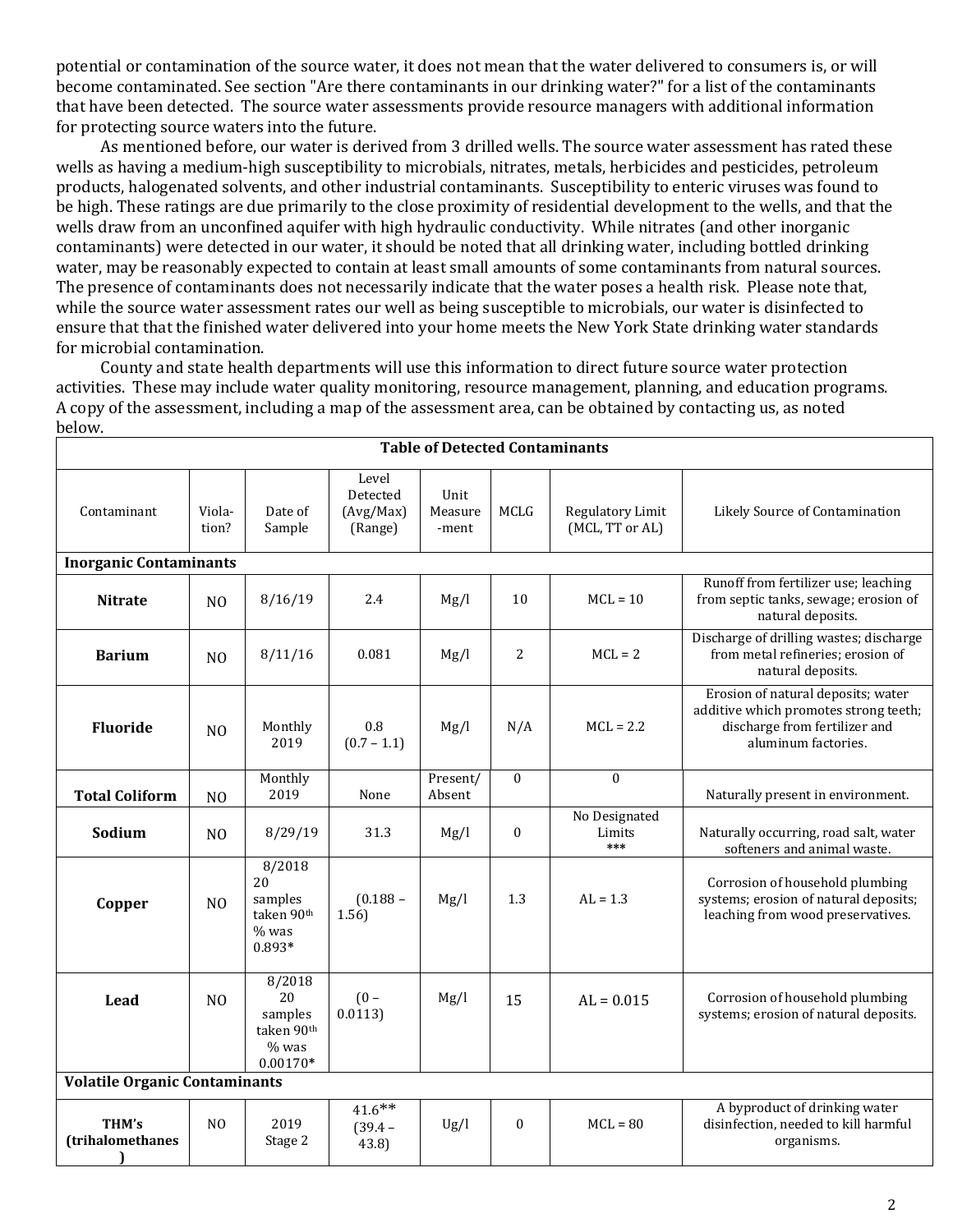potential or contamination of the source water, it does not mean that the water delivered to consumers is, or will become contaminated. See section "Are there contaminants in our drinking water?" for a list of the contaminants that have been detected. The source water assessments provide resource managers with additional information for protecting source waters into the future.

 As mentioned before, our water is derived from 3 drilled wells. The source water assessment has rated these wells as having a medium-high susceptibility to microbials, nitrates, metals, herbicides and pesticides, petroleum products, halogenated solvents, and other industrial contaminants. Susceptibility to enteric viruses was found to be high. These ratings are due primarily to the close proximity of residential development to the wells, and that the wells draw from an unconfined aquifer with high hydraulic conductivity. While nitrates (and other inorganic contaminants) were detected in our water, it should be noted that all drinking water, including bottled drinking water, may be reasonably expected to contain at least small amounts of some contaminants from natural sources. The presence of contaminants does not necessarily indicate that the water poses a health risk. Please note that, while the source water assessment rates our well as being susceptible to microbials, our water is disinfected to ensure that that the finished water delivered into your home meets the New York State drinking water standards for microbial contamination.

 County and state health departments will use this information to direct future source water protection activities. These may include water quality monitoring, resource management, planning, and education programs. A copy of the assessment, including a map of the assessment area, can be obtained by contacting us, as noted below.

| Contaminant                          | Viola-<br>tion? | Date of<br>Sample                                              | Level<br>Detected<br>(Avg/Max)<br>(Range) | Unit<br>Measure<br>-ment | <b>MCLG</b>      | Regulatory Limit<br>(MCL, TT or AL) | Likely Source of Contamination                                                                                                      |  |  |  |  |  |
|--------------------------------------|-----------------|----------------------------------------------------------------|-------------------------------------------|--------------------------|------------------|-------------------------------------|-------------------------------------------------------------------------------------------------------------------------------------|--|--|--|--|--|
| <b>Inorganic Contaminants</b>        |                 |                                                                |                                           |                          |                  |                                     |                                                                                                                                     |  |  |  |  |  |
| <b>Nitrate</b>                       | N <sub>0</sub>  | 8/16/19                                                        | 2.4                                       | Mg/l                     | 10               | $MCL = 10$                          | Runoff from fertilizer use; leaching<br>from septic tanks, sewage; erosion of<br>natural deposits.                                  |  |  |  |  |  |
| <b>Barium</b>                        | N <sub>0</sub>  | 8/11/16                                                        | 0.081                                     | Mg/l                     | $\overline{2}$   | $MCL = 2$                           | Discharge of drilling wastes; discharge<br>from metal refineries; erosion of<br>natural deposits.                                   |  |  |  |  |  |
| <b>Fluoride</b>                      | N <sub>0</sub>  | Monthly<br>2019                                                | 0.8<br>$(0.7 - 1.1)$                      | Mg/l                     | N/A              | $MCL = 2.2$                         | Erosion of natural deposits; water<br>additive which promotes strong teeth;<br>discharge from fertilizer and<br>aluminum factories. |  |  |  |  |  |
| <b>Total Coliform</b>                | N <sub>O</sub>  | Monthly<br>2019                                                | None                                      | Present/<br>Absent       | $\theta$         | $\mathbf{0}$                        | Naturally present in environment.                                                                                                   |  |  |  |  |  |
| Sodium                               | N <sub>O</sub>  | 8/29/19                                                        | 31.3                                      | Mg/l                     | $\boldsymbol{0}$ | No Designated<br>Limits<br>***      | Naturally occurring, road salt, water<br>softeners and animal waste.                                                                |  |  |  |  |  |
| Copper                               | N <sub>O</sub>  | 8/2018<br>20<br>samples<br>taken 90th<br>$%$ was<br>0.893*     | $(0.188 -$<br>1.56)                       | Mg/l                     | 1.3              | $AL = 1.3$                          | Corrosion of household plumbing<br>systems; erosion of natural deposits;<br>leaching from wood preservatives.                       |  |  |  |  |  |
| Lead                                 | N <sub>0</sub>  | 8/2018<br>20<br>samples<br>taken 90th<br>$%$ was<br>$0.00170*$ | $(0 -$<br>0.0113)                         | Mg/l                     | 15               | $AL = 0.015$                        | Corrosion of household plumbing<br>systems; erosion of natural deposits.                                                            |  |  |  |  |  |
| <b>Volatile Organic Contaminants</b> |                 |                                                                |                                           |                          |                  |                                     |                                                                                                                                     |  |  |  |  |  |
| THM's<br>(trihalomethanes            | N <sub>O</sub>  | 2019<br>Stage 2                                                | $41.6***$<br>$(39.4 -$<br>43.8)           | Ug/l                     | $\mathbf{0}$     | $MCL = 80$                          | A byproduct of drinking water<br>disinfection, needed to kill harmful<br>organisms.                                                 |  |  |  |  |  |

#### **Table of Detected Contaminants**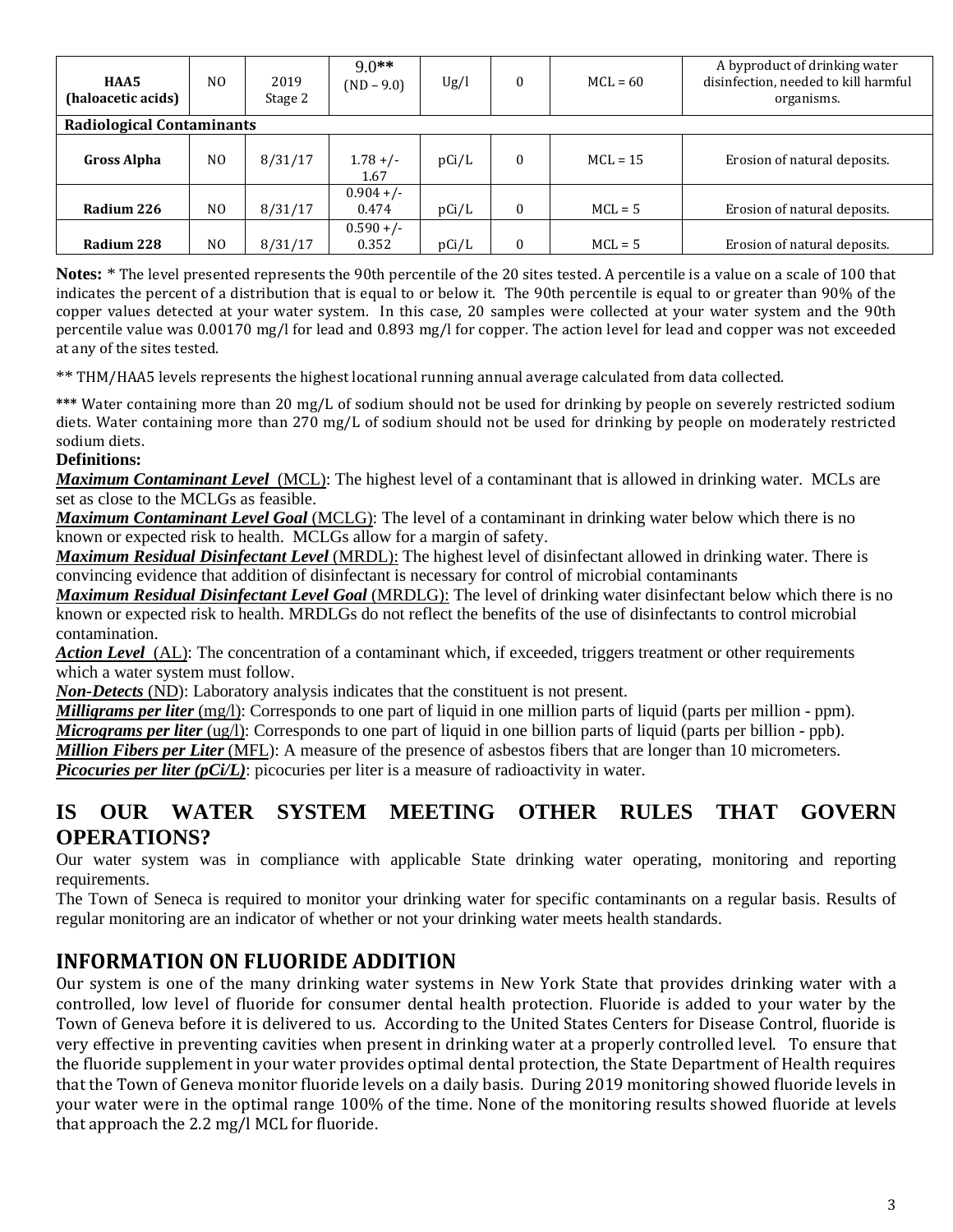| HAA5<br>(haloacetic acids)       | N <sub>0</sub> | 2019<br>Stage 2 | $9.0**$<br>$(ND - 9.0)$ | Ug/l  | $\Omega$ | $MCL = 60$ | A byproduct of drinking water<br>disinfection, needed to kill harmful<br>organisms. |  |  |  |
|----------------------------------|----------------|-----------------|-------------------------|-------|----------|------------|-------------------------------------------------------------------------------------|--|--|--|
| <b>Radiological Contaminants</b> |                |                 |                         |       |          |            |                                                                                     |  |  |  |
| Gross Alpha                      | N <sub>O</sub> | 8/31/17         | $1.78 +/-$<br>1.67      | pCi/L | $\Omega$ | $MCL = 15$ | Erosion of natural deposits.                                                        |  |  |  |
|                                  |                |                 | $0.904 +/-$             |       |          |            |                                                                                     |  |  |  |
| Radium 226                       | N <sub>O</sub> | 8/31/17         | 0.474                   | pCi/L | $\Omega$ | $MCL = 5$  | Erosion of natural deposits.                                                        |  |  |  |
|                                  |                |                 | $0.590 +/-$             |       |          |            |                                                                                     |  |  |  |
| Radium 228                       | N <sub>0</sub> | 8/31/17         | 0.352                   | pCi/L | $\theta$ | $MCL = 5$  | Erosion of natural deposits.                                                        |  |  |  |

**Notes:** \* The level presented represents the 90th percentile of the 20 sites tested. A percentile is a value on a scale of 100 that indicates the percent of a distribution that is equal to or below it. The 90th percentile is equal to or greater than 90% of the copper values detected at your water system. In this case, 20 samples were collected at your water system and the 90th percentile value was 0.00170 mg/l for lead and 0.893 mg/l for copper. The action level for lead and copper was not exceeded at any of the sites tested.

\*\* THM/HAA5 levels represents the highest locational running annual average calculated from data collected.

**\*\*\*** Water containing more than 20 mg/L of sodium should not be used for drinking by people on severely restricted sodium diets. Water containing more than 270 mg/L of sodium should not be used for drinking by people on moderately restricted sodium diets.

#### **Definitions:**

*Maximum Contaminant Level*(MCL): The highest level of a contaminant that is allowed in drinking water. MCLs are set as close to the MCLGs as feasible.

*Maximum Contaminant Level Goal* (MCLG): The level of a contaminant in drinking water below which there is no known or expected risk to health. MCLGs allow for a margin of safety.

*Maximum Residual Disinfectant Level* (MRDL): The highest level of disinfectant allowed in drinking water. There is convincing evidence that addition of disinfectant is necessary for control of microbial contaminants

*Maximum Residual Disinfectant Level Goal* (MRDLG): The level of drinking water disinfectant below which there is no known or expected risk to health. MRDLGs do not reflect the benefits of the use of disinfectants to control microbial contamination.

*Action Level*(AL): The concentration of a contaminant which, if exceeded, triggers treatment or other requirements which a water system must follow.

*Non-Detects* (ND): Laboratory analysis indicates that the constituent is not present.

*Milligrams per liter* (mg/l): Corresponds to one part of liquid in one million parts of liquid (parts per million - ppm).

*Micrograms per liter* (ug/l): Corresponds to one part of liquid in one billion parts of liquid (parts per billion - ppb).

*Million Fibers per Liter* (MFL): A measure of the presence of asbestos fibers that are longer than 10 micrometers.

*Picocuries per liter (pCi/L)*: picocuries per liter is a measure of radioactivity in water.

## **IS OUR WATER SYSTEM MEETING OTHER RULES THAT GOVERN OPERATIONS?**

Our water system was in compliance with applicable State drinking water operating, monitoring and reporting requirements.

The Town of Seneca is required to monitor your drinking water for specific contaminants on a regular basis. Results of regular monitoring are an indicator of whether or not your drinking water meets health standards.

# **INFORMATION ON FLUORIDE ADDITION**

Our system is one of the many drinking water systems in New York State that provides drinking water with a controlled, low level of fluoride for consumer dental health protection. Fluoride is added to your water by the Town of Geneva before it is delivered to us. According to the United States Centers for Disease Control, fluoride is very effective in preventing cavities when present in drinking water at a properly controlled level. To ensure that the fluoride supplement in your water provides optimal dental protection, the State Department of Health requires that the Town of Geneva monitor fluoride levels on a daily basis. During 2019 monitoring showed fluoride levels in your water were in the optimal range 100% of the time. None of the monitoring results showed fluoride at levels that approach the 2.2 mg/l MCL for fluoride.